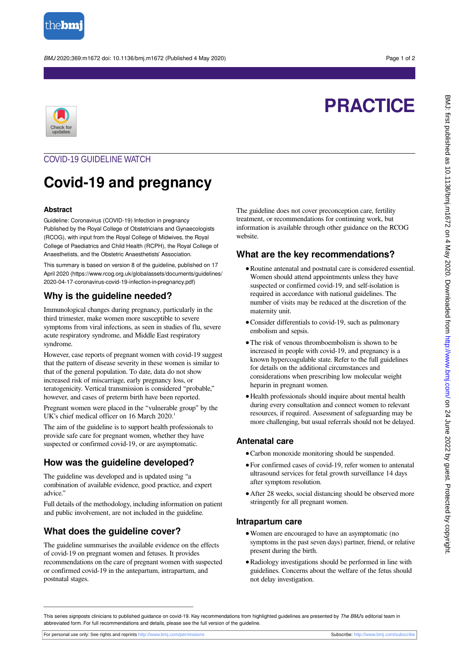

BMJ 2020;369:m1672 doi: 10.1136/bmj.m1672 (Published 4 May 2020) Page 1 of 2

# **PRACTICE**



# COVID-19 GUIDELINE WATCH

# **Covid-19 and pregnancy**

#### **Abstract**

Guideline: Coronavirus (COVID-19) Infection in pregnancy Published by the Royal College of Obstetricians and Gynaecologists (RCOG), with input from the Royal College of Midwives, the Royal College of Paediatrics and Child Health (RCPH), the Royal College of Anaesthetists, and the Obstetric Anaesthetists' Association.

This summary is based on version 8 of the guideline, published on 17 April 2020 (https://www.rcog.org.uk/globalassets/documents/guidelines/ 2020-04-17-coronavirus-covid-19-infection-in-pregnancy.pdf)

### **Why is the guideline needed?**

Immunological changes during pregnancy, particularly in the third trimester, make women more susceptible to severe symptoms from viral infections, as seen in studies of flu, severe acute respiratory syndrome, and Middle East respiratory syndrome.

However, case reports of pregnant women with covid-19 suggest that the pattern of disease severity in these women is similar to that of the general population. To date, data do not show increased risk of miscarriage, early pregnancy loss, or teratogenicity. Vertical transmission is considered "probable," however, and cases of preterm birth have been reported.

Pregnant women were placed in the "vulnerable group" by the UK's chief medical officer on 16 March 2020.<sup>1</sup>

The aim of the guideline is to support health professionals to provide safe care for pregnant women, whether they have suspected or confirmed covid-19, or are asymptomatic.

# **How was the guideline developed?**

The guideline was developed and is updated using "a combination of available evidence, good practice, and expert advice."

Full details of the methodology, including information on patient and public involvement, are not included in the guideline.

# **What does the guideline cover?**

The guideline summarises the available evidence on the effects of covid-19 on pregnant women and fetuses. It provides recommendations on the care of pregnant women with suspected or confirmed covid-19 in the antepartum, intrapartum, and postnatal stages.

The guideline does not cover preconception care, fertility treatment, or recommendations for continuing work, but information is available through other guidance on the RCOG website.

### **What are the key recommendations?**

- **•**Routine antenatal and postnatal care is considered essential. Women should attend appointments unless they have suspected or confirmed covid-19, and self-isolation is required in accordance with national guidelines. The number of visits may be reduced at the discretion of the maternity unit.
- **•**Consider differentials to covid-19, such as pulmonary embolism and sepsis.
- **•**The risk of venous thromboembolism is shown to be increased in people with covid-19, and pregnancy is a known hypercoagulable state. Refer to the full guidelines for details on the additional circumstances and considerations when prescribing low molecular weight heparin in pregnant women.
- **•**Health professionals should inquire about mental health during every consultation and connect women to relevant resources, if required. Assessment of safeguarding may be more challenging, but usual referrals should not be delayed.

#### **Antenatal care**

- **•**Carbon monoxide monitoring should be suspended.
- **•**For confirmed cases of covid-19, refer women to antenatal ultrasound services for fetal growth surveillance 14 days after symptom resolution.
- **•**After 28 weeks, social distancing should be observed more stringently for all pregnant women.

#### **Intrapartum care**

- **•**Women are encouraged to have an asymptomatic (no symptoms in the past seven days) partner, friend, or relative present during the birth.
- **•**Radiology investigations should be performed in line with guidelines. Concerns about the welfare of the fetus should not delay investigation.

This series signposts clinicians to published guidance on covid-19. Key recommendations from highlighted guidelines are presented by The BMJ's editorial team in abbreviated form. For full recommendations and details, please see the full version of the guideline.

For personal use only: See rights and reprints<http://www.bmj.com/permissions> Subscribe: <http://www.bmj.com/subscribe>